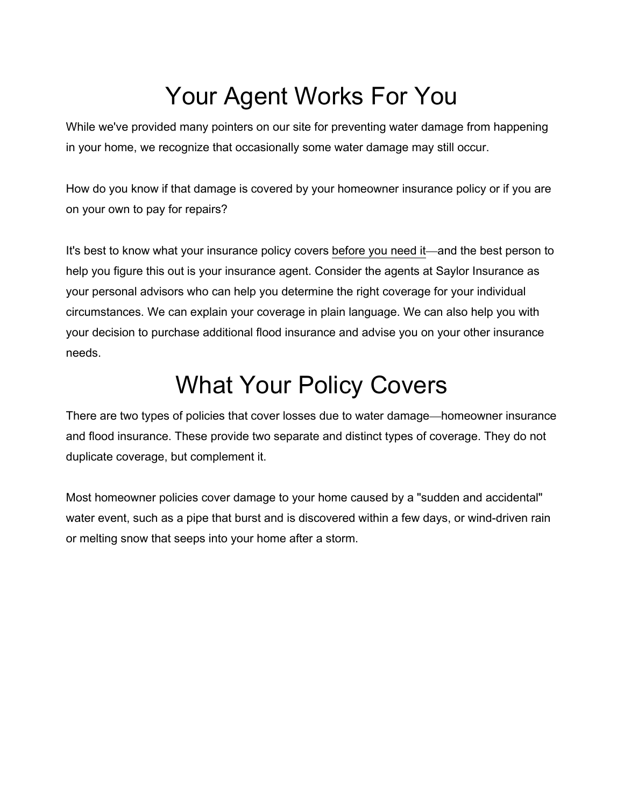## Your Agent Works For You

While we've provided many pointers on our site for preventing water damage from happening in your home, we recognize that occasionally some water damage may still occur.

How do you know if that damage is covered by your homeowner insurance policy or if you are on your own to pay for repairs?

It's best to know what your insurance policy covers before you need it—and the best person to help you figure this out is your insurance agent. Consider the agents at Saylor Insurance as your personal advisors who can help you determine the right coverage for your individual circumstances. We can explain your coverage in plain language. We can also help you with your decision to purchase additional flood insurance and advise you on your other insurance needs.

#### What Your Policy Covers

There are two types of policies that cover losses due to water damage—homeowner insurance and flood insurance. These provide two separate and distinct types of coverage. They do not duplicate coverage, but complement it.

Most homeowner policies cover damage to your home caused by a "sudden and accidental" water event, such as a pipe that burst and is discovered within a few days, or wind-driven rain or melting snow that seeps into your home after a storm.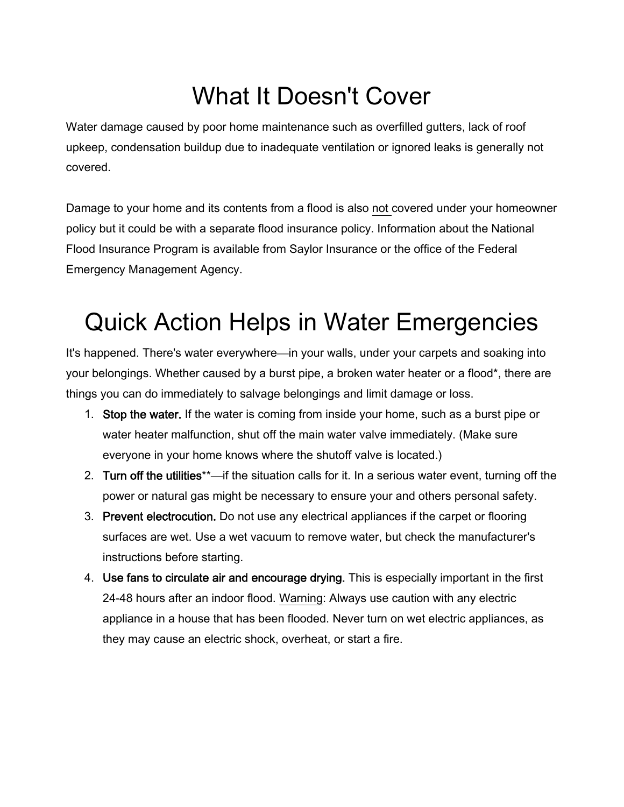# What It Doesn't Cover

Water damage caused by poor home maintenance such as overfilled gutters, lack of roof upkeep, condensation buildup due to inadequate ventilation or ignored leaks is generally not covered.

Damage to your home and its contents from a flood is also not covered under your homeowner policy but it could be with a separate flood insurance policy. Information about the National Flood Insurance Program is available from Saylor Insurance or the office of the Federal Emergency Management Agency.

## Quick Action Helps in Water Emergencies

It's happened. There's water everywhere—in your walls, under your carpets and soaking into your belongings. Whether caused by a burst pipe, a broken water heater or a flood\*, there are things you can do immediately to salvage belongings and limit damage or loss.

- 1. Stop the water. If the water is coming from inside your home, such as a burst pipe or water heater malfunction, shut off the main water valve immediately. (Make sure everyone in your home knows where the shutoff valve is located.)
- 2. Turn off the utilities<sup>\*\*</sup>—if the situation calls for it. In a serious water event, turning off the power or natural gas might be necessary to ensure your and others personal safety.
- 3. Prevent electrocution. Do not use any electrical appliances if the carpet or flooring surfaces are wet. Use a wet vacuum to remove water, but check the manufacturer's instructions before starting.
- 4. Use fans to circulate air and encourage drying. This is especially important in the first 24-48 hours after an indoor flood. Warning: Always use caution with any electric appliance in a house that has been flooded. Never turn on wet electric appliances, as they may cause an electric shock, overheat, or start a fire.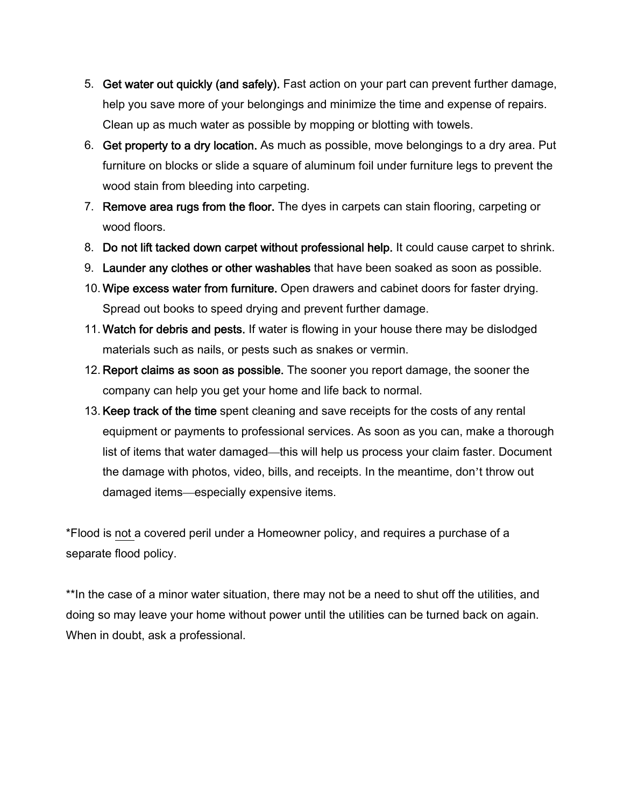- 5. Get water out quickly (and safely). Fast action on your part can prevent further damage, help you save more of your belongings and minimize the time and expense of repairs. Clean up as much water as possible by mopping or blotting with towels.
- 6. Get property to a dry location. As much as possible, move belongings to a dry area. Put furniture on blocks or slide a square of aluminum foil under furniture legs to prevent the wood stain from bleeding into carpeting.
- 7. Remove area rugs from the floor. The dyes in carpets can stain flooring, carpeting or wood floors.
- 8. Do not lift tacked down carpet without professional help. It could cause carpet to shrink.
- 9. Launder any clothes or other washables that have been soaked as soon as possible.
- 10. Wipe excess water from furniture. Open drawers and cabinet doors for faster drying. Spread out books to speed drying and prevent further damage.
- 11. Watch for debris and pests. If water is flowing in your house there may be dislodged materials such as nails, or pests such as snakes or vermin.
- 12. Report claims as soon as possible. The sooner you report damage, the sooner the company can help you get your home and life back to normal.
- 13. Keep track of the time spent cleaning and save receipts for the costs of any rental equipment or payments to professional services. As soon as you can, make a thorough list of items that water damaged—this will help us process your claim faster. Document the damage with photos, video, bills, and receipts. In the meantime, don't throw out damaged items—especially expensive items.

\*Flood is not a covered peril under a Homeowner policy, and requires a purchase of a separate flood policy.

\*\*In the case of a minor water situation, there may not be a need to shut off the utilities, and doing so may leave your home without power until the utilities can be turned back on again. When in doubt, ask a professional.